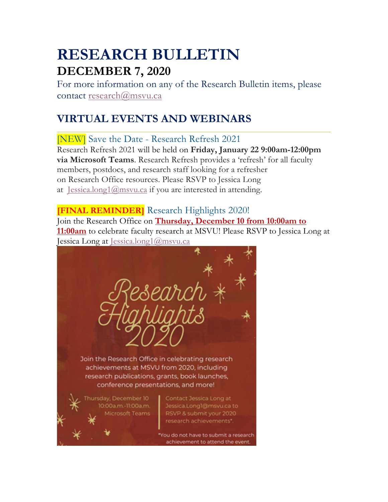# **RESEARCH BULLETIN DECEMBER 7, 2020**

For more information on any of the Research Bulletin items, please contact research@msvu.ca

# **VIRTUAL EVENTS AND WEBINARS**

[NEW] Save the Date - Research Refresh 2021

Research Refresh 2021 will be held on **Friday, January 22 9:00am-12:00pm via Microsoft Teams**. Research Refresh provides a 'refresh' for all faculty members, postdocs, and research staff looking for a refresher on Research Office resources. Please RSVP to Jessica Long at Jessica.long1@msvu.ca if you are interested in attending.

## **[FINAL REMINDER]** Research Highlights 2020!

Join the Research Office on **Thursday, December 10 from 10:00am to 11:00am** to celebrate faculty research at MSVU! Please RSVP to Jessica Long at Jessica Long at Jessica.long1@msvu.ca



You do not have to submit a research achievement to attend the event.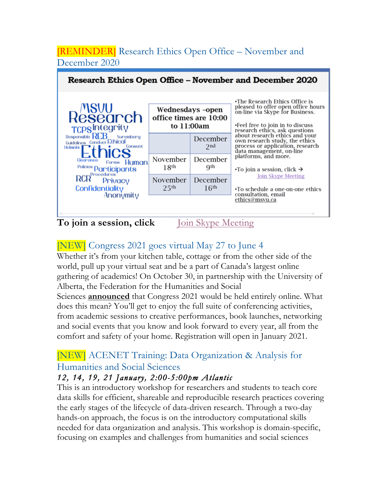# [REMINDER] Research Ethics Open Office – November and December 2020

| Research Ethics Open Office – November and December 2020                                                                                                                                                                                                       |                                                          |                              |                                                                                                                                                                                                                                                                                                    |  |
|----------------------------------------------------------------------------------------------------------------------------------------------------------------------------------------------------------------------------------------------------------------|----------------------------------------------------------|------------------------------|----------------------------------------------------------------------------------------------------------------------------------------------------------------------------------------------------------------------------------------------------------------------------------------------------|--|
| <b>Research</b><br>TCPSIntegrity<br>Responsible REB<br>Nuremberg<br>Guidelines Conduct Ethical<br>Consent<br>Helsinhi<br><b>IICS</b><br>Clearance<br>Human<br>Forms<br>Policies Participants<br><b>RCR</b> <sup>Procedures</sup><br>Privacy<br>Confidentiality | Wednesdays -open<br>office times are 10:00<br>to 11:00am |                              | •The Research Ethics Office is<br>pleased to offer open office hours<br>on-line via Skype for Business.<br>•Feel free to join in to discuss<br>research ethics, ask questions                                                                                                                      |  |
|                                                                                                                                                                                                                                                                |                                                          | December<br>2nd              | about research ethics and your<br>own research study, the ethics<br>process or application, research<br>data management, on-line<br>platforms, and more.<br>$\cdot$ To join a session, click $\rightarrow$<br><b>Join Skype Meeting</b><br>•To schedule a one-on-one ethics<br>consultation, email |  |
|                                                                                                                                                                                                                                                                | November<br>18 <sup>th</sup>                             | December<br>Qth              |                                                                                                                                                                                                                                                                                                    |  |
|                                                                                                                                                                                                                                                                | November<br>25 <sup>th</sup>                             | December<br>16 <sup>th</sup> |                                                                                                                                                                                                                                                                                                    |  |
| Anonymity<br>To join a session, click                                                                                                                                                                                                                          |                                                          | oin Skype Meeting            | ethics@msvu.ca                                                                                                                                                                                                                                                                                     |  |

# [NEW] Congress 2021 goes virtual May 27 to June 4

Whether it's from your kitchen table, cottage or from the other side of the world, pull up your virtual seat and be a part of Canada's largest online gathering of academics! On October 30, in partnership with the University of Alberta, the Federation for the Humanities and Social Sciences **announced** that Congress 2021 would be held entirely online. What does this mean? You'll get to enjoy the full suite of conferencing activities, from academic sessions to creative performances, book launches, networking and social events that you know and look forward to every year, all from the

### [NEW] ACENET Training: Data Organization & Analysis for Humanities and Social Sciences

comfort and safety of your home. Registration will open in January 2021.

#### *12, 14, 19, 21 January, 2:00-5:00pm Atlantic*

This is an introductory workshop for researchers and students to teach core data skills for efficient, shareable and reproducible research practices covering the early stages of the lifecycle of data-driven research. Through a two-day hands-on approach, the focus is on the introductory computational skills needed for data organization and analysis. This workshop is domain-specific, focusing on examples and challenges from humanities and social sciences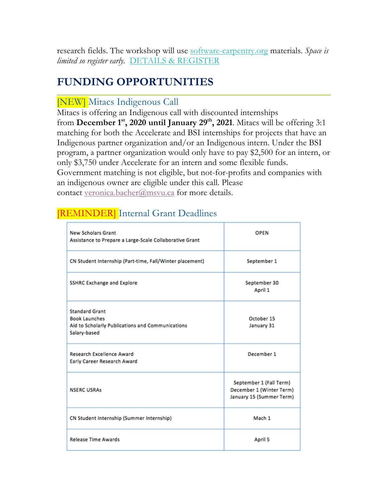research fields. The workshop will use software-carpentry.org materials. *Space is limited so register early.* DETAILS & REGISTER

# **FUNDING OPPORTUNITIES**

### [NEW] Mitacs Indigenous Call

Mitacs is offering an Indigenous call with discounted internships from **December 1st, 2020 until January 29th, 2021**. Mitacs will be offering 3:1 matching for both the Accelerate and BSI internships for projects that have an Indigenous partner organization and/or an Indigenous intern. Under the BSI program, a partner organization would only have to pay \$2,500 for an intern, or only \$3,750 under Accelerate for an intern and some flexible funds. Government matching is not eligible, but not-for-profits and companies with an indigenous owner are eligible under this call. Please contact veronica.bacher@msvu.ca for more details.

# [REMINDER] Internal Grant Deadlines

| <b>New Scholars Grant</b><br>Assistance to Prepare a Large-Scale Collaborative Grant                              | <b>OPEN</b>                                                                     |
|-------------------------------------------------------------------------------------------------------------------|---------------------------------------------------------------------------------|
| CN Student Internship (Part-time, Fall/Winter placement)                                                          | September 1                                                                     |
| <b>SSHRC Exchange and Explore</b>                                                                                 | September 30<br>April 1                                                         |
| <b>Standard Grant</b><br><b>Book Launches</b><br>Aid to Scholarly Publications and Communications<br>Salary-based | October 15<br>January 31                                                        |
| <b>Research Excellence Award</b><br>Early Career Research Award                                                   | December 1                                                                      |
| <b>NSERC USRAS</b>                                                                                                | September 1 (Fall Term)<br>December 1 (Winter Term)<br>January 15 (Summer Term) |
| CN Student Internship (Summer Internship)                                                                         | Mach 1                                                                          |
| <b>Release Time Awards</b>                                                                                        | April 5                                                                         |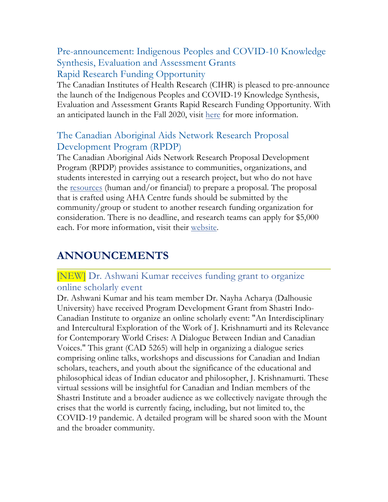Pre-announcement: Indigenous Peoples and COVID-10 Knowledge Synthesis, Evaluation and Assessment Grants Rapid Research Funding Opportunity

The Canadian Institutes of Health Research (CIHR) is pleased to pre-announce the launch of the Indigenous Peoples and COVID-19 Knowledge Synthesis, Evaluation and Assessment Grants Rapid Research Funding Opportunity. With an anticipated launch in the Fall 2020, visit here for more information.

#### The Canadian Aboriginal Aids Network Research Proposal Development Program (RPDP)

The Canadian Aboriginal Aids Network Research Proposal Development Program (RPDP) provides assistance to communities, organizations, and students interested in carrying out a research project, but who do not have the resources (human and/or financial) to prepare a proposal. The proposal that is crafted using AHA Centre funds should be submitted by the community/group or student to another research funding organization for consideration. There is no deadline, and research teams can apply for \$5,000 each. For more information, visit their website.

# **ANNOUNCEMENTS**

### [NEW] Dr. Ashwani Kumar receives funding grant to organize online scholarly event

Dr. Ashwani Kumar and his team member Dr. Nayha Acharya (Dalhousie University) have received Program Development Grant from Shastri Indo-Canadian Institute to organize an online scholarly event: "An Interdisciplinary and Intercultural Exploration of the Work of J. Krishnamurti and its Relevance for Contemporary World Crises: A Dialogue Between Indian and Canadian Voices." This grant (CAD 5265) will help in organizing a dialogue series comprising online talks, workshops and discussions for Canadian and Indian scholars, teachers, and youth about the significance of the educational and philosophical ideas of Indian educator and philosopher, J. Krishnamurti. These virtual sessions will be insightful for Canadian and Indian members of the Shastri Institute and a broader audience as we collectively navigate through the crises that the world is currently facing, including, but not limited to, the COVID-19 pandemic. A detailed program will be shared soon with the Mount and the broader community.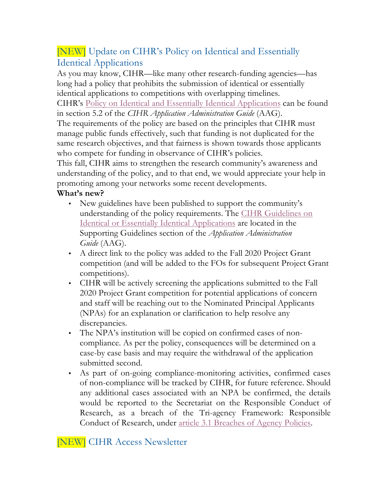# [NEW] Update on CIHR's Policy on Identical and Essentially Identical Applications

As you may know, CIHR—like many other research-funding agencies—has long had a policy that prohibits the submission of identical or essentially identical applications to competitions with overlapping timelines.

CIHR's Policy on Identical and Essentially Identical Applications can be found in section 5.2 of the *CIHR Application Administration Guide* (AAG).

The requirements of the policy are based on the principles that CIHR must manage public funds effectively, such that funding is not duplicated for the same research objectives, and that fairness is shown towards those applicants who compete for funding in observance of CIHR's policies.

This fall, CIHR aims to strengthen the research community's awareness and understanding of the policy, and to that end, we would appreciate your help in promoting among your networks some recent developments.

#### **What's new?**

- New guidelines have been published to support the community's understanding of the policy requirements. The CIHR Guidelines on Identical or Essentially Identical Applications are located in the Supporting Guidelines section of the *Application Administration Guide* (AAG).
- A direct link to the policy was added to the Fall 2020 Project Grant competition (and will be added to the FOs for subsequent Project Grant competitions).
- CIHR will be actively screening the applications submitted to the Fall 2020 Project Grant competition for potential applications of concern and staff will be reaching out to the Nominated Principal Applicants (NPAs) for an explanation or clarification to help resolve any discrepancies.
- The NPA's institution will be copied on confirmed cases of noncompliance. As per the policy, consequences will be determined on a case-by case basis and may require the withdrawal of the application submitted second.
- As part of on-going compliance-monitoring activities, confirmed cases of non-compliance will be tracked by CIHR, for future reference. Should any additional cases associated with an NPA be confirmed, the details would be reported to the Secretariat on the Responsible Conduct of Research, as a breach of the Tri-agency Framework: Responsible Conduct of Research, under article 3.1 Breaches of Agency Policies.

[NEW] CIHR Access Newsletter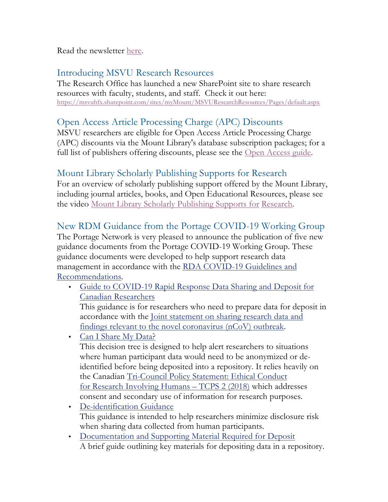Read the newsletter here.

### Introducing MSVU Research Resources

The Research Office has launched a new SharePoint site to share research resources with faculty, students, and staff. Check it out here: https://msvuhfx.sharepoint.com/sites/myMount/MSVUResearchResources/Pages/default.aspx

## Open Access Article Processing Charge (APC) Discounts

MSVU researchers are eligible for Open Access Article Processing Charge (APC) discounts via the Mount Library's database subscription packages; for a full list of publishers offering discounts, please see the Open Access guide.

## Mount Library Scholarly Publishing Supports for Research

For an overview of scholarly publishing support offered by the Mount Library, including journal articles, books, and Open Educational Resources, please see the video Mount Library Scholarly Publishing Supports for Research.

# New RDM Guidance from the Portage COVID-19 Working Group

The Portage Network is very pleased to announce the publication of five new guidance documents from the Portage COVID-19 Working Group. These guidance documents were developed to help support research data management in accordance with the RDA COVID-19 Guidelines and Recommendations.

• Guide to COVID-19 Rapid Response Data Sharing and Deposit for Canadian Researchers

This guidance is for researchers who need to prepare data for deposit in accordance with the Joint statement on sharing research data and findings relevant to the novel coronavirus (nCoV) outbreak.

• Can I Share My Data?

This decision tree is designed to help alert researchers to situations where human participant data would need to be anonymized or deidentified before being deposited into a repository. It relies heavily on the Canadian Tri-Council Policy Statement: Ethical Conduct for Research Involving Humans – TCPS 2 (2018) which addresses consent and secondary use of information for research purposes.

- De-identification Guidance This guidance is intended to help researchers minimize disclosure risk when sharing data collected from human participants.
- Documentation and Supporting Material Required for Deposit A brief guide outlining key materials for depositing data in a repository.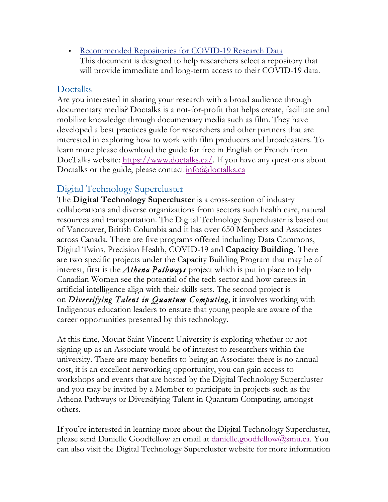• Recommended Repositories for COVID-19 Research Data This document is designed to help researchers select a repository that will provide immediate and long-term access to their COVID-19 data.

#### Doctalks

Are you interested in sharing your research with a broad audience through documentary media? Doctalks is a not-for-profit that helps create, facilitate and mobilize knowledge through documentary media such as film. They have developed a best practices guide for researchers and other partners that are interested in exploring how to work with film producers and broadcasters. To learn more please download the guide for free in English or French from DocTalks website: https://www.doctalks.ca/. If you have any questions about Doctalks or the guide, please contact info@doctalks.ca

#### Digital Technology Supercluster

The **Digital Technology Supercluster** is a cross-section of industry collaborations and diverse organizations from sectors such health care, natural resources and transportation. The Digital Technology Supercluster is based out of Vancouver, British Columbia and it has over 650 Members and Associates across Canada. There are five programs offered including: Data Commons, Digital Twins, Precision Health, COVID-19 and **Capacity Building.** There are two specific projects under the Capacity Building Program that may be of interest, first is the *Athena Pathways* project which is put in place to help Canadian Women see the potential of the tech sector and how careers in artificial intelligence align with their skills sets. The second project is on *Diversifying Talent in Quantum Computing*, it involves working with Indigenous education leaders to ensure that young people are aware of the career opportunities presented by this technology.

At this time, Mount Saint Vincent University is exploring whether or not signing up as an Associate would be of interest to researchers within the university. There are many benefits to being an Associate: there is no annual cost, it is an excellent networking opportunity, you can gain access to workshops and events that are hosted by the Digital Technology Supercluster and you may be invited by a Member to participate in projects such as the Athena Pathways or Diversifying Talent in Quantum Computing, amongst others.

If you're interested in learning more about the Digital Technology Supercluster, please send Danielle Goodfellow an email at danielle.goodfellow@smu.ca. You can also visit the Digital Technology Supercluster website for more information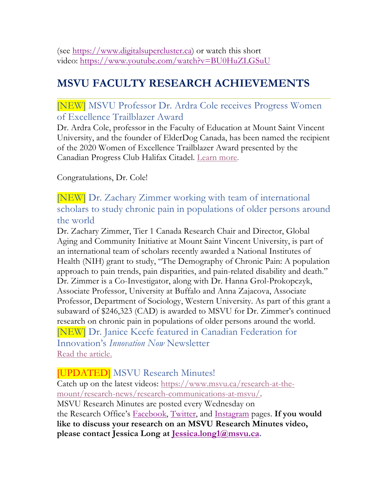(see https://www.digitalsupercluster.ca) or watch this short video: https://www.youtube.com/watch?v=BU0HuZLGSuU

# **MSVU FACULTY RESEARCH ACHIEVEMENTS**

#### [NEW] MSVU Professor Dr. Ardra Cole receives Progress Women of Excellence Trailblazer Award

Dr. Ardra Cole, professor in the Faculty of Education at Mount Saint Vincent University, and the founder of ElderDog Canada, has been named the recipient of the 2020 Women of Excellence Trailblazer Award presented by the Canadian Progress Club Halifax Citadel. Learn more.

Congratulations, Dr. Cole!

[NEW] Dr. Zachary Zimmer working with team of international scholars to study chronic pain in populations of older persons around the world

Dr. Zachary Zimmer, Tier 1 Canada Research Chair and Director, Global Aging and Community Initiative at Mount Saint Vincent University, is part of an international team of scholars recently awarded a National Institutes of Health (NIH) grant to study, "The Demography of Chronic Pain: A population approach to pain trends, pain disparities, and pain-related disability and death." Dr. Zimmer is a Co-Investigator, along with Dr. Hanna Grol-Prokopczyk, Associate Professor, University at Buffalo and Anna Zajacova, Associate Professor, Department of Sociology, Western University. As part of this grant a subaward of \$246,323 (CAD) is awarded to MSVU for Dr. Zimmer's continued research on chronic pain in populations of older persons around the world. [NEW] Dr. Janice Keefe featured in Canadian Federation for Innovation's *Innovation Now* Newsletter Read the article.

[UPDATED] MSVU Research Minutes!

Catch up on the latest videos: https://www.msvu.ca/research-at-themount/research-news/research-communications-at-msvu/. MSVU Research Minutes are posted every Wednesday on the Research Office's Facebook, Twitter, and Instagram pages. **If you would like to discuss your research on an MSVU Research Minutes video, please contact Jessica Long at Jessica.long1@msvu.ca.**